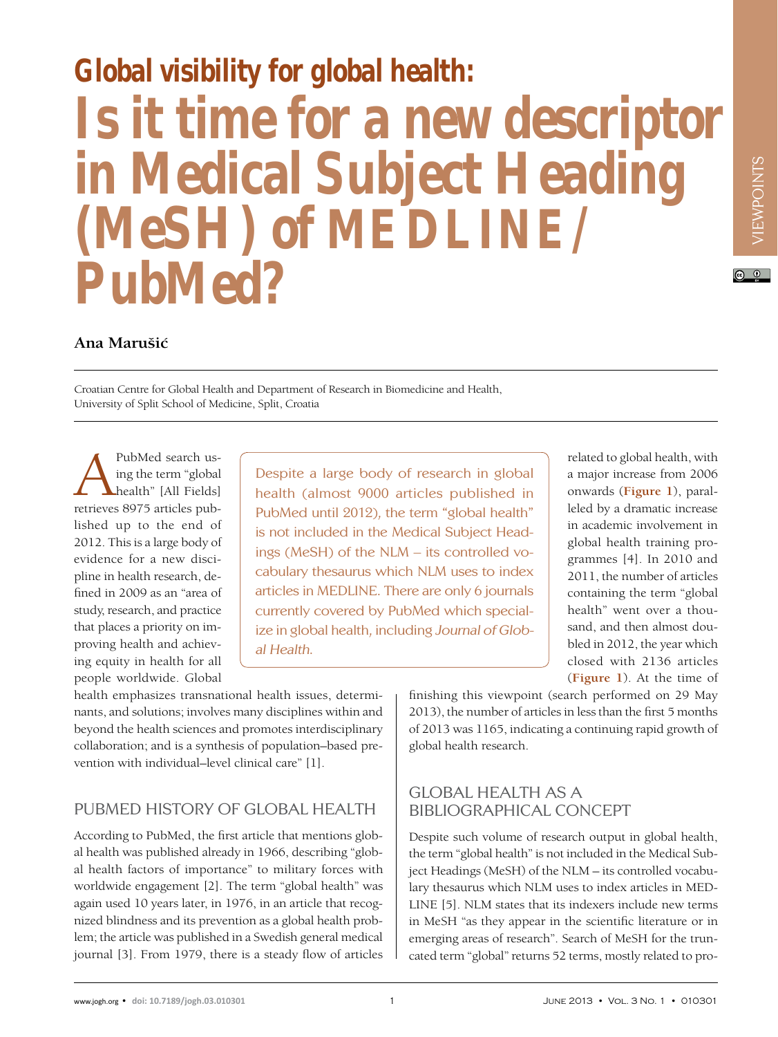# **Global visibility for global health: Is it time for a new descriptor in Medical Subject Heading (MeSH) of MEDLINE/ PubMed?**

#### **Ana Marušic´**

Croatian Centre for Global Health and Department of Research in Biomedicine and Health, University of Split School of Medicine, Split, Croatia

PubMed search us-<br>
ing the term "global<br>
health" [All Fields]<br>
retrieves 8975 articles pubing the term "global health" [All Fields] lished up to the end of 2012. This is a large body of evidence for a new discipline in health research, defined in 2009 as an "area of study, research, and practice that places a priority on improving health and achieving equity in health for all people worldwide. Global

Despite a large body of research in global health (almost 9000 articles published in PubMed until 2012), the term "global health" is not included in the Medical Subject Headings (MeSH) of the NLM – its controlled vocabulary thesaurus which NLM uses to index articles in MEDLINE. There are only 6 journals currently covered by PubMed which specialize in global health, including Journal of Global Health.

related to global health, with a major increase from 2006 onwards (**Figure 1**), paralleled by a dramatic increase in academic involvement in global health training programmes [4]. In 2010 and 2011, the number of articles containing the term "global health" went over a thousand, and then almost doubled in 2012, the year which closed with 2136 articles (**Figure 1**). At the time of finishing this viewpoint (search performed on 29 May

VIEWPOINTS

 $\odot$   $\odot$ 

VIEWPOINTS

health emphasizes transnational health issues, determinants, and solutions; involves many disciplines within and beyond the health sciences and promotes interdisciplinary collaboration; and is a synthesis of population–based prevention with individual–level clinical care" [1].

# PubMed history of global health

According to PubMed, the first article that mentions global health was published already in 1966, describing "global health factors of importance" to military forces with worldwide engagement [2]. The term "global health" was again used 10 years later, in 1976, in an article that recognized blindness and its prevention as a global health problem; the article was published in a Swedish general medical journal [3]. From 1979, there is a steady flow of articles

# Global health as a bibliographical concept

global health research.

Despite such volume of research output in global health, the term "global health" is not included in the Medical Subject Headings (MeSH) of the NLM – its controlled vocabulary thesaurus which NLM uses to index articles in MED-LINE [5]. NLM states that its indexers include new terms in MeSH "as they appear in the scientific literature or in emerging areas of research". Search of MeSH for the truncated term "global" returns 52 terms, mostly related to pro-

2013), the number of articles in less than the first 5 months of 2013 was 1165, indicating a continuing rapid growth of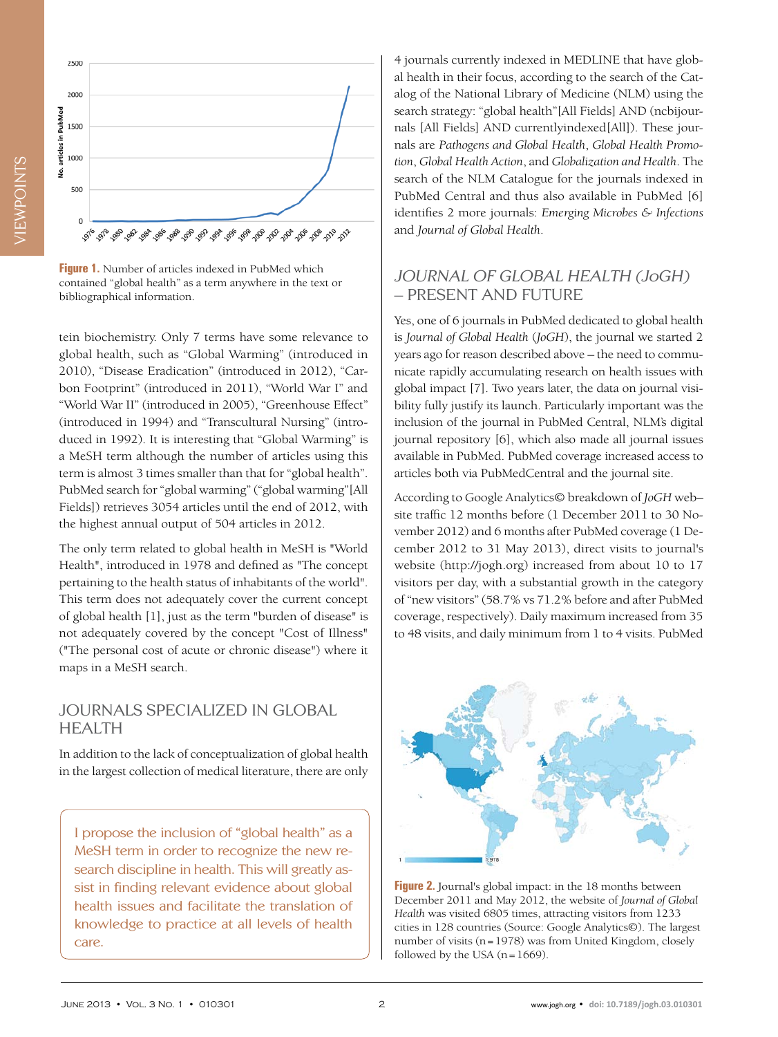



**Figure 1.** Number of articles indexed in PubMed which contained "global health" as a term anywhere in the text or bibliographical information.

tein biochemistry. Only 7 terms have some relevance to global health, such as "Global Warming" (introduced in 2010), "Disease Eradication" (introduced in 2012), "Carbon Footprint" (introduced in 2011), "World War I" and "World War II" (introduced in 2005), "Greenhouse Effect" (introduced in 1994) and "Transcultural Nursing" (introduced in 1992). It is interesting that "Global Warming" is a MeSH term although the number of articles using this term is almost 3 times smaller than that for "global health". PubMed search for "global warming" ("global warming"[All Fields]) retrieves 3054 articles until the end of 2012, with the highest annual output of 504 articles in 2012.

The only term related to global health in MeSH is "World Health", introduced in 1978 and defined as "The concept pertaining to the health status of inhabitants of the world". This term does not adequately cover the current concept of global health [1], just as the term "burden of disease" is not adequately covered by the concept "Cost of Illness" ("The personal cost of acute or chronic disease") where it maps in a MeSH search.

### Journals specialized in global **HEALTH**

In addition to the lack of conceptualization of global health in the largest collection of medical literature, there are only

I propose the inclusion of "global health" as a MeSH term in order to recognize the new research discipline in health. This will greatly assist in finding relevant evidence about global health issues and facilitate the translation of knowledge to practice at all levels of health care.

4 journals currently indexed in MEDLINE that have global health in their focus, according to the search of the Catalog of the National Library of Medicine (NLM) using the search strategy: "global health"[All Fields] AND (ncbijournals [All Fields] AND currentlyindexed[All]). These journals are *Pathogens and Global Health*, *Global Health Promotion*, *Global Health Action*, and *Globalization and Health*. The search of the NLM Catalogue for the journals indexed in PubMed Central and thus also available in PubMed [6] identifies 2 more journals: *Emerging Microbes & Infections* and *Journal of Global Health*.

### Journal of Global Health (JoGH) – present and future

Yes, one of 6 journals in PubMed dedicated to global health is *Journal of Global Health* (*JoGH*), the journal we started 2 years ago for reason described above – the need to communicate rapidly accumulating research on health issues with global impact [7]. Two years later, the data on journal visibility fully justify its launch. Particularly important was the inclusion of the journal in PubMed Central, NLM's digital journal repository [6], which also made all journal issues available in PubMed. PubMed coverage increased access to articles both via PubMedCentral and the journal site.

According to Google Analytics© breakdown of *JoGH* web– site traffic 12 months before (1 December 2011 to 30 November 2012) and 6 months after PubMed coverage (1 December 2012 to 31 May 2013), direct visits to journal's website (http://jogh.org) increased from about 10 to 17 visitors per day, with a substantial growth in the category of "new visitors" (58.7% vs 71.2% before and after PubMed coverage, respectively). Daily maximum increased from 35 to 48 visits, and daily minimum from 1 to 4 visits. PubMed



**Figure 2.** Journal's global impact: in the 18 months between December 2011 and May 2012, the website of *Journal of Global Health* was visited 6805 times, attracting visitors from 1233 cities in 128 countries (Source: Google Analytics©). The largest number of visits (n=1978) was from United Kingdom, closely followed by the USA  $(n=1669)$ .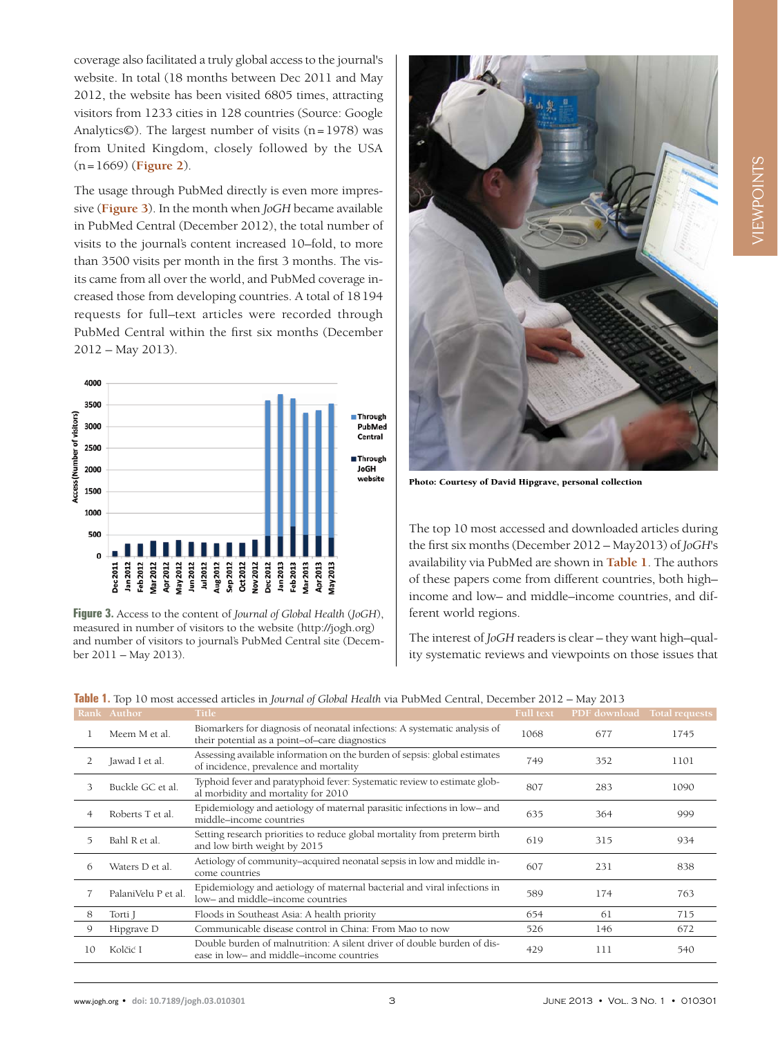coverage also facilitated a truly global access to the journal's website. In total (18 months between Dec 2011 and May 2012, the website has been visited 6805 times, attracting visitors from 1233 cities in 128 countries (Source: Google Analytics©). The largest number of visits  $(n=1978)$  was from United Kingdom, closely followed by the USA (n=1669) (**Figure 2**).

The usage through PubMed directly is even more impressive (**Figure 3**). In the month when *JoGH* became available in PubMed Central (December 2012), the total number of visits to the journal's content increased 10–fold, to more than 3500 visits per month in the first 3 months. The visits came from all over the world, and PubMed coverage increased those from developing countries. A total of 18194 requests for full–text articles were recorded through PubMed Central within the first six months (December 2012 – May 2013).



**Figure 3.** Access to the content of *Journal of Global Health* (*JoGH*), measured in number of visitors to the website (http://jogh.org) and number of visitors to journal's PubMed Central site (December 2011 – May 2013).



Photo: Courtesy of David Hipgrave, personal collection

The top 10 most accessed and downloaded articles during the first six months (December 2012 – May2013) of *JoGH*'s availability via PubMed are shown in **Table 1**. The authors of these papers come from different countries, both high– income and low– and middle–income countries, and different world regions.

The interest of *JoGH* readers is clear – they want high–quality systematic reviews and viewpoints on those issues that

|    | Rank Author         | <b>Title</b>                                                                                                                | <b>Full text</b> | PDF download | Total requests |
|----|---------------------|-----------------------------------------------------------------------------------------------------------------------------|------------------|--------------|----------------|
|    | Meem M et al.       | Biomarkers for diagnosis of neonatal infections: A systematic analysis of<br>their potential as a point-of-care diagnostics | 1068             | 677          | 1745           |
|    | Jawad I et al.      | Assessing available information on the burden of sepsis: global estimates<br>of incidence, prevalence and mortality         | 749              | 352          | 1101           |
| 3  | Buckle GC et al.    | Typhoid fever and paratyphoid fever: Systematic review to estimate glob-<br>al morbidity and mortality for 2010             | 807              | 283          | 1090           |
|    | Roberts T et al.    | Epidemiology and aetiology of maternal parasitic infections in low- and<br>middle-income countries                          | 635              | 364          | 999            |
| 5  | Bahl R et al.       | Setting research priorities to reduce global mortality from preterm birth<br>and low birth weight by 2015                   | 619              | 315          | 934            |
| 6  | Waters D et al.     | Aetiology of community-acquired neonatal sepsis in low and middle in-<br>come countries                                     | 607              | 231          | 838            |
|    | PalaniVelu P et al. | Epidemiology and aetiology of maternal bacterial and viral infections in<br>low- and middle-income countries                | 589              | 174          | 763            |
| 8  | Torti J             | Floods in Southeast Asia: A health priority                                                                                 | 654              | 61           | 715            |
| 9  | Hipgrave D          | Communicable disease control in China: From Mao to now                                                                      | 526              | 146          | 672            |
| 10 | Kolčić I            | Double burden of malnutrition: A silent driver of double burden of dis-<br>ease in low- and middle-income countries         | 429              | 111          | 540            |